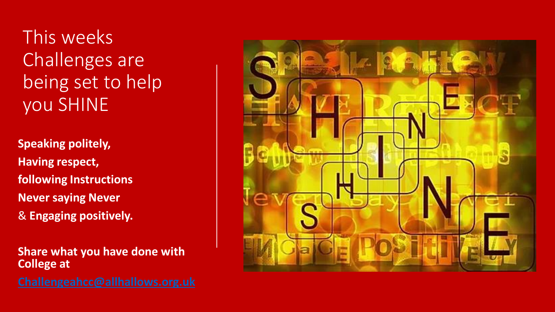This weeks Challenges are being set to help you SHINE

**Speaking politely, Having respect, following Instructions Never saying Never**  & **Engaging positively.**

**Share what you have done with College at**

**[Challengeahcc@allhallows.org.uk](mailto:Challengeahcc@allhallows.org.uk)**

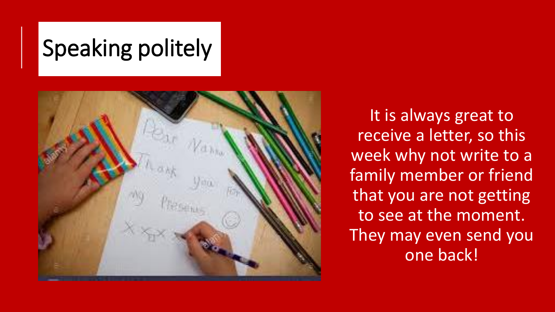# Speaking politely



It is always great to receive a letter, so this week why not write to a family member or friend that you are not getting to see at the moment. They may even send you one back!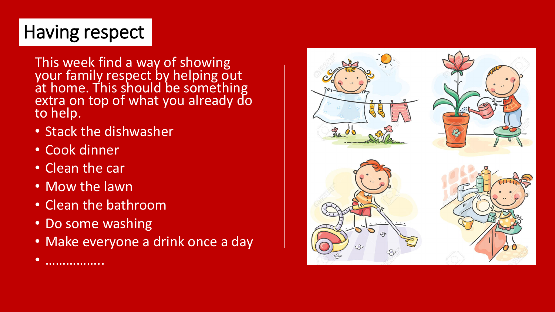## Having respect

This week find a way of showing your fami<u>ly</u> respect by helping out at home. This should be something extra on top of what you already do to help.

- Stack the dishwasher
- Cook dinner
- Clean the car

• ……………..

- Mow the lawn
- Clean the bathroom
- Do some washing
- Make everyone a drink once a day

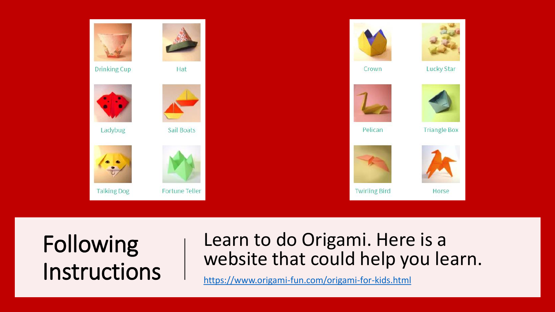

## Following Instructions

### Learn to do Origami. Here is a website that could help you learn.

<https://www.origami-fun.com/origami-for-kids.html>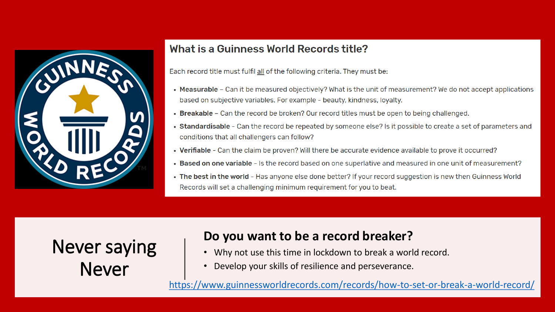

#### What is a Guinness World Records title?

Each record title must fulfil all of the following criteria. They must be:

- Measurable Can it be measured objectively? What is the unit of measurement? We do not accept applications based on subjective variables. For example - beauty, kindness, loyalty.
- Breakable Can the record be broken? Our record titles must be open to being challenged.
- Standardisable Can the record be repeated by someone else? Is it possible to create a set of parameters and conditions that all challengers can follow?
- Verifiable Can the claim be proven? Will there be accurate evidence available to prove it occurred?
- . Based on one variable Is the record based on one superlative and measured in one unit of measurement?
- The best in the world Has anyone else done better? If your record suggestion is new then Guinness World Records will set a challenging minimum requirement for you to beat.

### Never saying Never

### **Do you want to be a record breaker?**

- Why not use this time in lockdown to break a world record.
- Develop your skills of resilience and perseverance.

<https://www.guinnessworldrecords.com/records/how-to-set-or-break-a-world-record/>